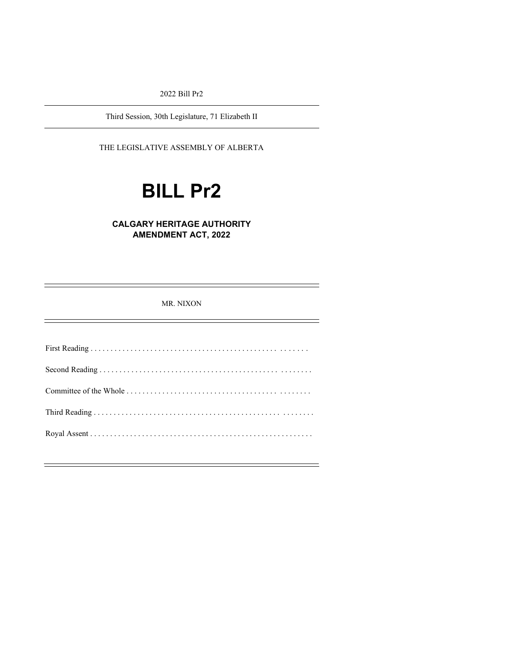2022 Bill Pr2

Third Session, 30th Legislature, 71 Elizabeth II

THE LEGISLATIVE ASSEMBLY OF ALBERTA

# **BILL Pr2**

# **CALGARY HERITAGE AUTHORITY AMENDMENT ACT, 2022**

MR. NIXON

First Reading . . . . . . . . . . . . . . . . . . . . . . . . . . . . . . . . . . . . . . . . . . . . . . . . . . . . . . Second Reading . . . . . . . . . . . . . . . . . . . . . . . . . . . . . . . . . . . . . . . . . . . . . . . . . . . . . Committee of the Whole . . . . . . . . . . . . . . . . . . . . . . . . . . . . . . . . . . . . . . . . . . . . . . Third Reading . . . . . . . . . . . . . . . . . . . . . . . . . . . . . . . . . . . . . . . . . . . . . . . . . . . . . . . Royal Assent . . . . . . . . . . . . . . . . . . . . . . . . . . . . . . . . . . . . . . . . . . . . . . . . . . . . . . . .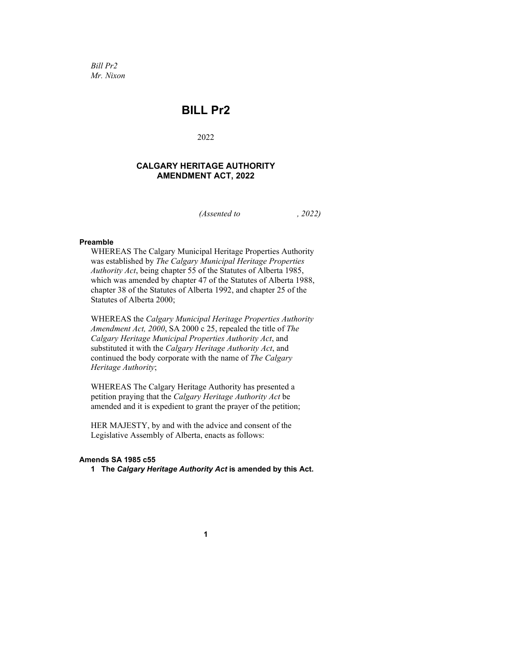*Bill Pr2 Mr. Nixon*

# **BILL Pr2**

2022

# **CALGARY HERITAGE AUTHORITY AMENDMENT ACT, 2022**

*(Assented to , 2022)*

#### **Preamble**

WHEREAS The Calgary Municipal Heritage Properties Authority was established by *The Calgary Municipal Heritage Properties Authority Act*, being chapter 55 of the Statutes of Alberta 1985, which was amended by chapter 47 of the Statutes of Alberta 1988, chapter 38 of the Statutes of Alberta 1992, and chapter 25 of the Statutes of Alberta 2000;

WHEREAS the *Calgary Municipal Heritage Properties Authority Amendment Act, 2000*, SA 2000 c 25, repealed the title of *The Calgary Heritage Municipal Properties Authority Act*, and substituted it with the *Calgary Heritage Authority Act*, and continued the body corporate with the name of *The Calgary Heritage Authority*;

WHEREAS The Calgary Heritage Authority has presented a petition praying that the *Calgary Heritage Authority Act* be amended and it is expedient to grant the prayer of the petition;

HER MAJESTY, by and with the advice and consent of the Legislative Assembly of Alberta, enacts as follows:

#### **Amends SA 1985 c55**

**1 The** *Calgary Heritage Authority Act* **is amended by this Act.**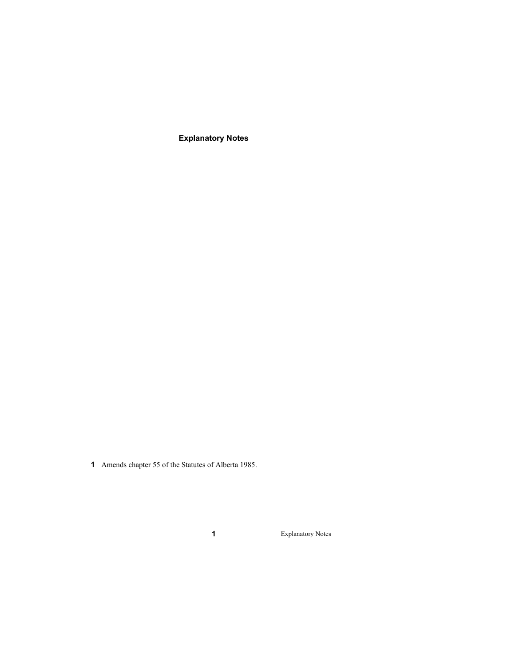**Explanatory Notes**

Amends chapter 55 of the Statutes of Alberta 1985.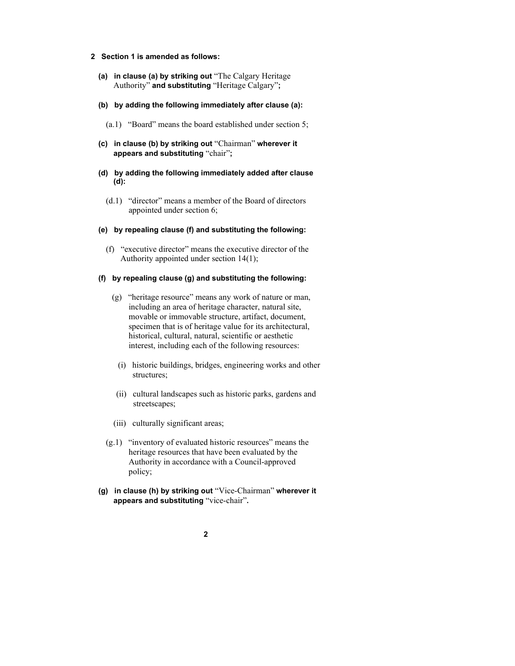- **2 Section 1 is amended as follows:**
	- **(a) in clause (a) by striking out** "The Calgary Heritage Authority" **and substituting** "Heritage Calgary"**;**
	- **(b) by adding the following immediately after clause (a):**
		- (a.1) "Board" means the board established under section 5;
	- **(c) in clause (b) by striking out** "Chairman" **wherever it appears and substituting** "chair"**;**
	- **(d) by adding the following immediately added after clause (d):**
		- (d.1) "director" means a member of the Board of directors appointed under section 6;
	- **(e) by repealing clause (f) and substituting the following:** 
		- (f) "executive director" means the executive director of the Authority appointed under section 14(1);

#### **(f) by repealing clause (g) and substituting the following:**

- (g) "heritage resource" means any work of nature or man, including an area of heritage character, natural site, movable or immovable structure, artifact, document, specimen that is of heritage value for its architectural, historical, cultural, natural, scientific or aesthetic interest, including each of the following resources:
	- (i) historic buildings, bridges, engineering works and other structures;
	- (ii) cultural landscapes such as historic parks, gardens and streetscapes;
- (iii) culturally significant areas;
- (g.1) "inventory of evaluated historic resources" means the heritage resources that have been evaluated by the Authority in accordance with a Council-approved policy;
- **(g) in clause (h) by striking out** "Vice-Chairman" **wherever it appears and substituting** "vice-chair"**.**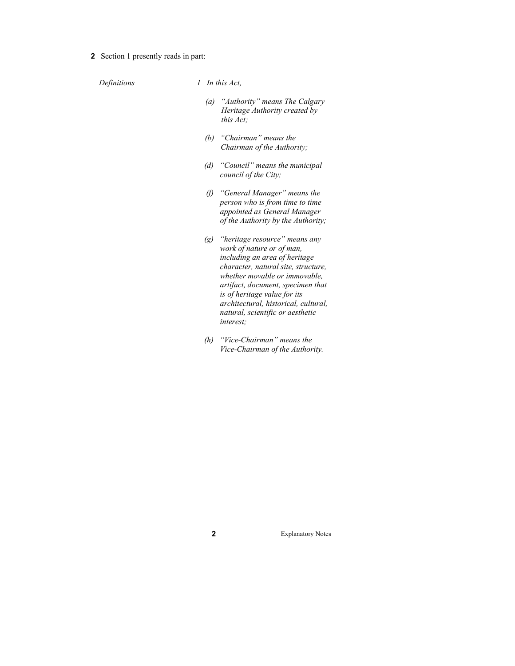**2** Section 1 presently reads in part:

*Definitions 1 In this Act,*

- *(a) "Authority" means The Calgary Heritage Authority created by this Act;*
- *(b) "Chairman" means the Chairman of the Authority;*
- *(d) "Council" means the municipal council of the City;*
- *(f) "General Manager" means the person who is from time to time appointed as General Manager of the Authority by the Authority;*
- *(g) "heritage resource" means any work of nature or of man, including an area of heritage character, natural site, structure, whether movable or immovable, artifact, document, specimen that is of heritage value for its architectural, historical, cultural, natural, scientific or aesthetic interest;*
- *(h) "Vice-Chairman" means the Vice-Chairman of the Authority.*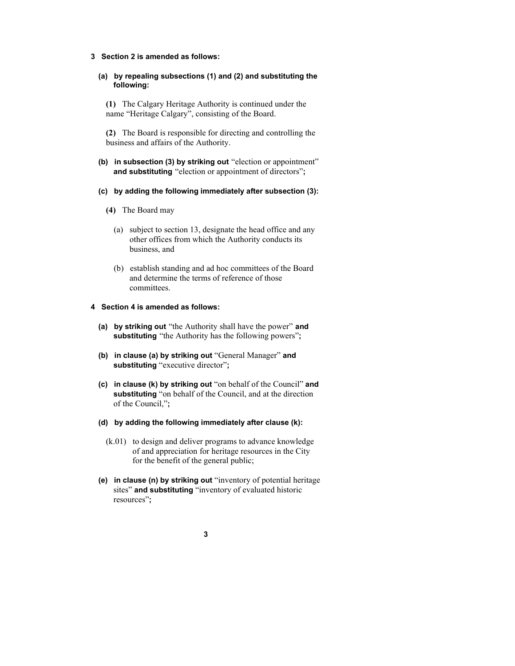#### **3 Section 2 is amended as follows:**

### **(a) by repealing subsections (1) and (2) and substituting the following:**

**(1)** The Calgary Heritage Authority is continued under the name "Heritage Calgary", consisting of the Board.

**(2)** The Board is responsible for directing and controlling the business and affairs of the Authority.

**(b) in subsection (3) by striking out** "election or appointment" **and substituting** "election or appointment of directors"**;**

### **(c) by adding the following immediately after subsection (3):**

- **(4)** The Board may
	- (a) subject to section 13, designate the head office and any other offices from which the Authority conducts its business, and
	- (b) establish standing and ad hoc committees of the Board and determine the terms of reference of those committees.

### **4 Section 4 is amended as follows:**

- **(a) by striking out** "the Authority shall have the power" **and substituting** "the Authority has the following powers"**;**
- **(b) in clause (a) by striking out** "General Manager" **and substituting** "executive director"**;**
- **(c) in clause (k) by striking out** "on behalf of the Council" **and substituting** "on behalf of the Council, and at the direction of the Council,"**;**
- **(d) by adding the following immediately after clause (k):** 
	- (k.01) to design and deliver programs to advance knowledge of and appreciation for heritage resources in the City for the benefit of the general public;
- **(e) in clause (n) by striking out** "inventory of potential heritage sites" **and substituting** "inventory of evaluated historic resources"**;**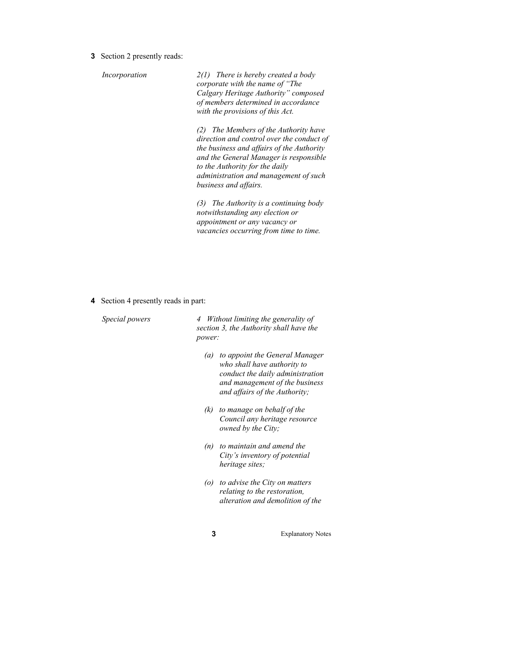**3** Section 2 presently reads:

*Incorporation 2(1) There is hereby created a body corporate with the name of "The Calgary Heritage Authority" composed of members determined in accordance with the provisions of this Act.* 

> *(2) The Members of the Authority have direction and control over the conduct of the business and affairs of the Authority and the General Manager is responsible to the Authority for the daily administration and management of such business and affairs.*

*(3) The Authority is a continuing body notwithstanding any election or appointment or any vacancy or vacancies occurring from time to time.*

**4** Section 4 presently reads in part:

*Special powers 4 Without limiting the generality of section 3, the Authority shall have the power:*

- *(a) to appoint the General Manager who shall have authority to conduct the daily administration and management of the business and affairs of the Authority;*
- *(k) to manage on behalf of the Council any heritage resource owned by the City;*
- *(n) to maintain and amend the City's inventory of potential heritage sites;*
- *(o) to advise the City on matters relating to the restoration, alteration and demolition of the*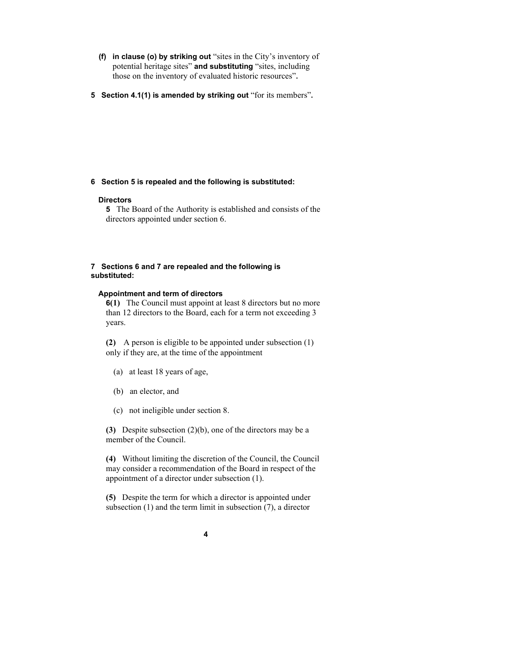- **(f) in clause (o) by striking out** "sites in the City's inventory of potential heritage sites" **and substituting** "sites, including those on the inventory of evaluated historic resources"**.**
- **5 Section 4.1(1) is amended by striking out** "for its members"**.**

#### **6 Section 5 is repealed and the following is substituted:**

#### **Directors**

**5** The Board of the Authority is established and consists of the directors appointed under section 6.

#### **7 Sections 6 and 7 are repealed and the following is substituted:**

#### **Appointment and term of directors**

**6(1)** The Council must appoint at least 8 directors but no more than 12 directors to the Board, each for a term not exceeding 3 years.

**(2)** A person is eligible to be appointed under subsection (1) only if they are, at the time of the appointment

- (a) at least 18 years of age,
- (b) an elector, and
- (c) not ineligible under section 8.

**(3)** Despite subsection (2)(b), one of the directors may be a member of the Council.

**(4)** Without limiting the discretion of the Council, the Council may consider a recommendation of the Board in respect of the appointment of a director under subsection (1).

**(5)** Despite the term for which a director is appointed under subsection (1) and the term limit in subsection (7), a director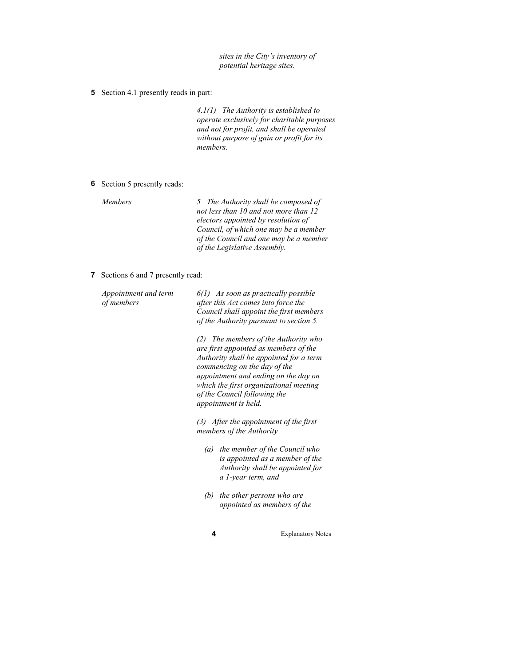*sites in the City's inventory of potential heritage sites.*

**5** Section 4.1 presently reads in part:

*4.1(1) The Authority is established to operate exclusively for charitable purposes and not for profit, and shall be operated without purpose of gain or profit for its members.*

**6** Section 5 presently reads:

| <i>Members</i> | 5 The Authority shall be composed of   |  |
|----------------|----------------------------------------|--|
|                | not less than 10 and not more than 12  |  |
|                | electors appointed by resolution of    |  |
|                | Council, of which one may be a member  |  |
|                | of the Council and one may be a member |  |
|                | of the Legislative Assembly.           |  |

#### **7** Sections 6 and 7 presently read:

| Appointment and term<br>of members | $6(1)$ As soon as practically possible<br>after this Act comes into force the<br>Council shall appoint the first members<br>of the Authority pursuant to section 5.<br>The members of the Authority who<br>(2)<br>are first appointed as members of the<br>Authority shall be appointed for a term<br>commencing on the day of the<br>appointment and ending on the day on<br>which the first organizational meeting<br>of the Council following the<br>appointment is held. |  |  |
|------------------------------------|------------------------------------------------------------------------------------------------------------------------------------------------------------------------------------------------------------------------------------------------------------------------------------------------------------------------------------------------------------------------------------------------------------------------------------------------------------------------------|--|--|
|                                    |                                                                                                                                                                                                                                                                                                                                                                                                                                                                              |  |  |
|                                    | $(3)$ After the appointment of the first<br>members of the Authority                                                                                                                                                                                                                                                                                                                                                                                                         |  |  |
|                                    | the member of the Council who<br>$\left(a\right)$<br>is appointed as a member of the<br>Authority shall be appointed for<br>a 1-year term, and                                                                                                                                                                                                                                                                                                                               |  |  |
|                                    | the other persons who are<br>(b)<br>appointed as members of the                                                                                                                                                                                                                                                                                                                                                                                                              |  |  |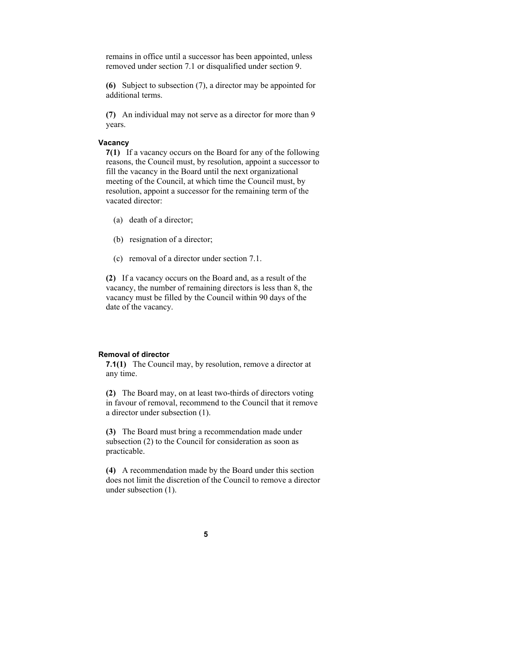remains in office until a successor has been appointed, unless removed under section 7.1 or disqualified under section 9.

**(6)** Subject to subsection (7), a director may be appointed for additional terms.

**(7)** An individual may not serve as a director for more than 9 years.

#### **Vacancy**

**7(1)** If a vacancy occurs on the Board for any of the following reasons, the Council must, by resolution, appoint a successor to fill the vacancy in the Board until the next organizational meeting of the Council, at which time the Council must, by resolution, appoint a successor for the remaining term of the vacated director:

- (a) death of a director;
- (b) resignation of a director;
- (c) removal of a director under section 7.1.

**(2)** If a vacancy occurs on the Board and, as a result of the vacancy, the number of remaining directors is less than 8, the vacancy must be filled by the Council within 90 days of the date of the vacancy.

#### **Removal of director**

**7.1(1)** The Council may, by resolution, remove a director at any time.

**(2)** The Board may, on at least two-thirds of directors voting in favour of removal, recommend to the Council that it remove a director under subsection (1).

**(3)** The Board must bring a recommendation made under subsection (2) to the Council for consideration as soon as practicable.

**(4)** A recommendation made by the Board under this section does not limit the discretion of the Council to remove a director under subsection (1).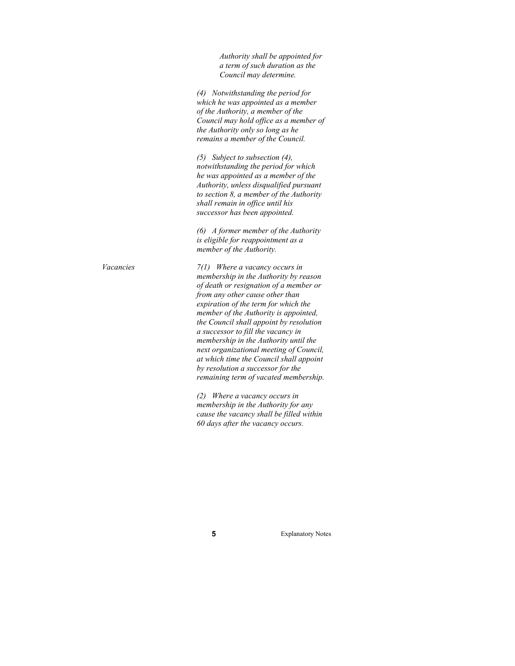*Authority shall be appointed for a term of such duration as the Council may determine.* 

*(4) Notwithstanding the period for which he was appointed as a member of the Authority, a member of the Council may hold office as a member of the Authority only so long as he remains a member of the Council.*

*(5) Subject to subsection (4), notwithstanding the period for which he was appointed as a member of the Authority, unless disqualified pursuant to section 8, a member of the Authority shall remain in office until his successor has been appointed.*

*(6) A former member of the Authority is eligible for reappointment as a member of the Authority.*

*Vacancies 7(1) Where a vacancy occurs in membership in the Authority by reason of death or resignation of a member or from any other cause other than expiration of the term for which the member of the Authority is appointed, the Council shall appoint by resolution a successor to fill the vacancy in membership in the Authority until the next organizational meeting of Council, at which time the Council shall appoint by resolution a successor for the remaining term of vacated membership.*

> *(2) Where a vacancy occurs in membership in the Authority for any cause the vacancy shall be filled within 60 days after the vacancy occurs.*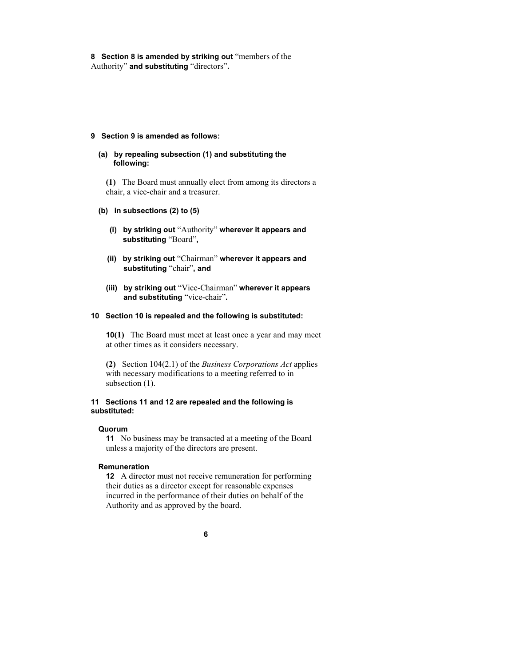**8 Section 8 is amended by striking out** "members of the Authority" **and substituting** "directors"**.** 

#### **9 Section 9 is amended as follows:**

#### **(a) by repealing subsection (1) and substituting the following:**

**(1)** The Board must annually elect from among its directors a chair, a vice-chair and a treasurer.

#### **(b) in subsections (2) to (5)**

- **(i) by striking out** "Authority" **wherever it appears and substituting** "Board"**,**
- **(ii) by striking out** "Chairman" **wherever it appears and substituting** "chair"**, and**
- **(iii) by striking out** "Vice-Chairman" **wherever it appears and substituting** "vice-chair"**.**

#### **10 Section 10 is repealed and the following is substituted:**

**10(1)** The Board must meet at least once a year and may meet at other times as it considers necessary.

**(2)** Section 104(2.1) of the *Business Corporations Act* applies with necessary modifications to a meeting referred to in subsection  $(1)$ .

#### **11 Sections 11 and 12 are repealed and the following is substituted:**

#### **Quorum**

**11** No business may be transacted at a meeting of the Board unless a majority of the directors are present.

#### **Remuneration**

**12** A director must not receive remuneration for performing their duties as a director except for reasonable expenses incurred in the performance of their duties on behalf of the Authority and as approved by the board.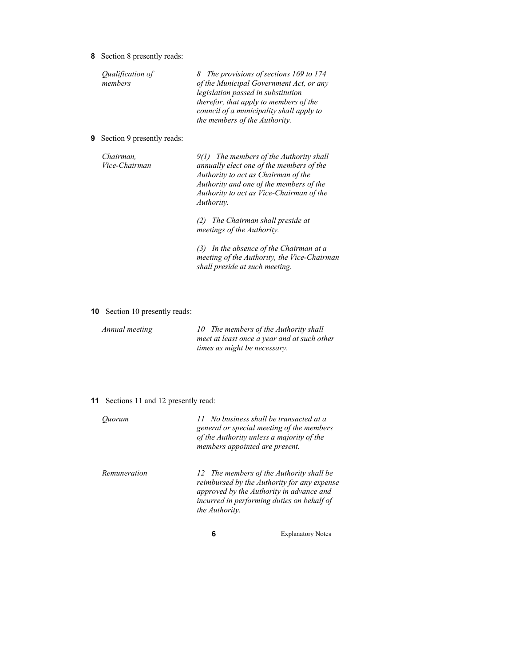**8** Section 8 presently reads:

*Qualification of members*

*8 The provisions of sections 169 to 174 of the Municipal Government Act, or any legislation passed in substitution therefor, that apply to members of the council of a municipality shall apply to the members of the Authority.*

**9** Section 9 presently reads:

*Chairman, Vice-Chairman*

*9(1) The members of the Authority shall annually elect one of the members of the Authority to act as Chairman of the Authority and one of the members of the Authority to act as Vice-Chairman of the Authority.*

*(2) The Chairman shall preside at meetings of the Authority.*

*(3) In the absence of the Chairman at a meeting of the Authority, the Vice-Chairman shall preside at such meeting.*

**10** Section 10 presently reads:

*Annual meeting 10 The members of the Authority shall meet at least once a year and at such other times as might be necessary.*

**11** Sections 11 and 12 presently read:

| Ouorum       | 11 No business shall be transacted at a<br>general or special meeting of the members<br>of the Authority unless a majority of the<br>members appointed are present.                                 |  |
|--------------|-----------------------------------------------------------------------------------------------------------------------------------------------------------------------------------------------------|--|
| Remuneration | 12 The members of the Authority shall be<br>reimbursed by the Authority for any expense<br>approved by the Authority in advance and<br>incurred in performing duties on behalf of<br>the Authority. |  |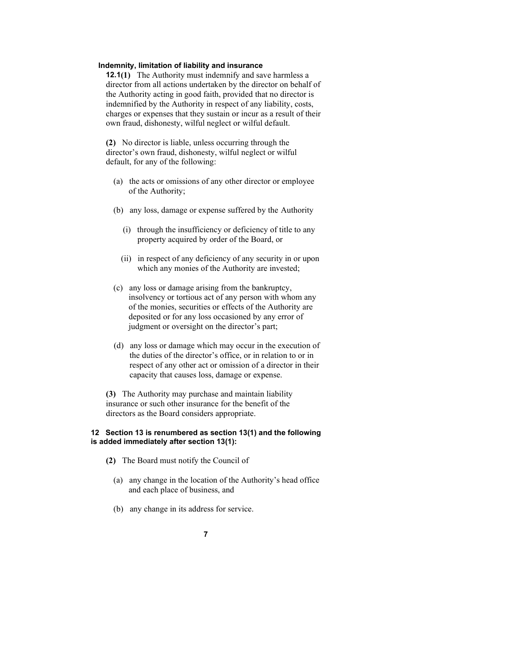#### **Indemnity, limitation of liability and insurance**

**12.1(1)** The Authority must indemnify and save harmless a director from all actions undertaken by the director on behalf of the Authority acting in good faith, provided that no director is indemnified by the Authority in respect of any liability, costs, charges or expenses that they sustain or incur as a result of their own fraud, dishonesty, wilful neglect or wilful default.

**(2)** No director is liable, unless occurring through the director's own fraud, dishonesty, wilful neglect or wilful default, for any of the following:

- (a) the acts or omissions of any other director or employee of the Authority;
- (b) any loss, damage or expense suffered by the Authority
	- (i) through the insufficiency or deficiency of title to any property acquired by order of the Board, or
	- (ii) in respect of any deficiency of any security in or upon which any monies of the Authority are invested;
- (c) any loss or damage arising from the bankruptcy, insolvency or tortious act of any person with whom any of the monies, securities or effects of the Authority are deposited or for any loss occasioned by any error of judgment or oversight on the director's part;
- (d) any loss or damage which may occur in the execution of the duties of the director's office, or in relation to or in respect of any other act or omission of a director in their capacity that causes loss, damage or expense.

**(3)** The Authority may purchase and maintain liability insurance or such other insurance for the benefit of the directors as the Board considers appropriate.

#### **12 Section 13 is renumbered as section 13(1) and the following is added immediately after section 13(1):**

- **(2)** The Board must notify the Council of
	- (a) any change in the location of the Authority's head office and each place of business, and
	- (b) any change in its address for service.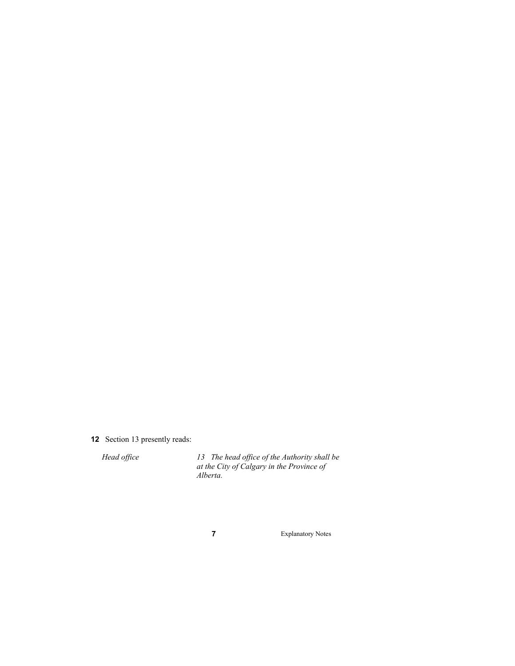# **12** Section 13 presently reads:

*Head office 13 The head office of the Authority shall be at the City of Calgary in the Province of Alberta.*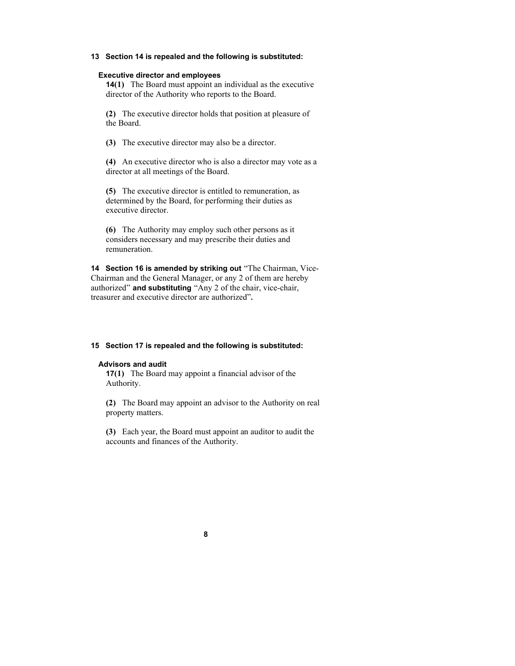#### **13 Section 14 is repealed and the following is substituted:**

#### **Executive director and employees**

**14(1)** The Board must appoint an individual as the executive director of the Authority who reports to the Board.

**(2)** The executive director holds that position at pleasure of the Board.

**(3)** The executive director may also be a director.

**(4)** An executive director who is also a director may vote as a director at all meetings of the Board.

**(5)** The executive director is entitled to remuneration, as determined by the Board, for performing their duties as executive director.

**(6)** The Authority may employ such other persons as it considers necessary and may prescribe their duties and remuneration.

**14 Section 16 is amended by striking out** "The Chairman, Vice-Chairman and the General Manager, or any 2 of them are hereby authorized" **and substituting** "Any 2 of the chair, vice-chair, treasurer and executive director are authorized"**.**

# **15 Section 17 is repealed and the following is substituted:**

# **Advisors and audit**

**17(1)** The Board may appoint a financial advisor of the Authority.

**(2)** The Board may appoint an advisor to the Authority on real property matters.

**(3)** Each year, the Board must appoint an auditor to audit the accounts and finances of the Authority.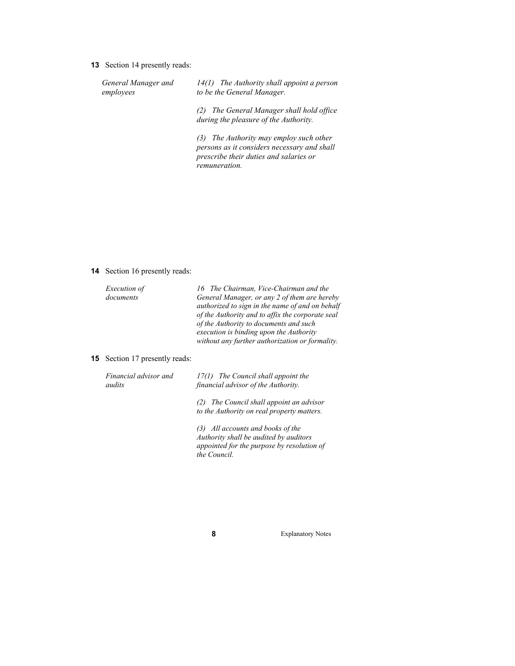**13** Section 14 presently reads:

*General Manager and employees*

*14(1) The Authority shall appoint a person to be the General Manager.*

*(2) The General Manager shall hold office during the pleasure of the Authority.*

*(3) The Authority may employ such other persons as it considers necessary and shall prescribe their duties and salaries or remuneration.*

**14** Section 16 presently reads:

| <i>Execution of</i> | 16 The Chairman, Vice-Chairman and the                                                          |
|---------------------|-------------------------------------------------------------------------------------------------|
| documents           | General Manager, or any 2 of them are hereby<br>authorized to sign in the name of and on behalf |
|                     | of the Authority and to affix the corporate seal<br>of the Authority to documents and such      |
|                     | execution is binding upon the Authority<br>without any further authorization or formality.      |
|                     |                                                                                                 |

#### **15** Section 17 presently reads:

| Financial advisor and | 17(1) The Council shall appoint the |  |  |
|-----------------------|-------------------------------------|--|--|
| audits                | financial advisor of the Authority. |  |  |
|                       |                                     |  |  |

*(2) The Council shall appoint an advisor to the Authority on real property matters.*

*(3) All accounts and books of the Authority shall be audited by auditors appointed for the purpose by resolution of the Council.*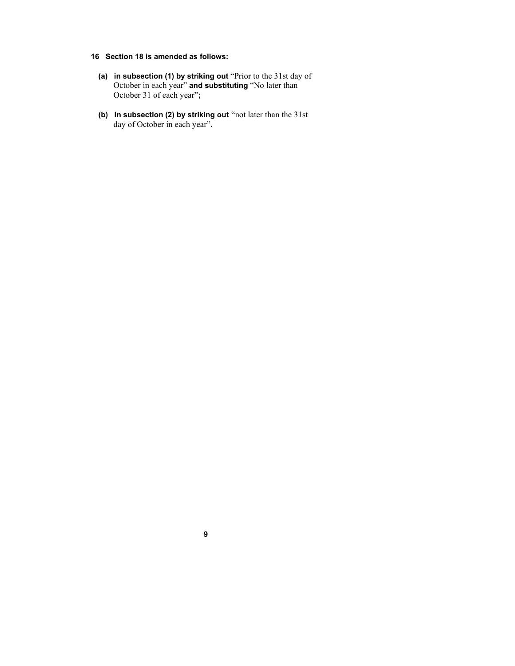#### **16 Section 18 is amended as follows:**

- **(a) in subsection (1) by striking out** "Prior to the 31st day of October in each year" **and substituting** "No later than October 31 of each year"**;**
- **(b) in subsection (2) by striking out** "not later than the 31st day of October in each year"**.**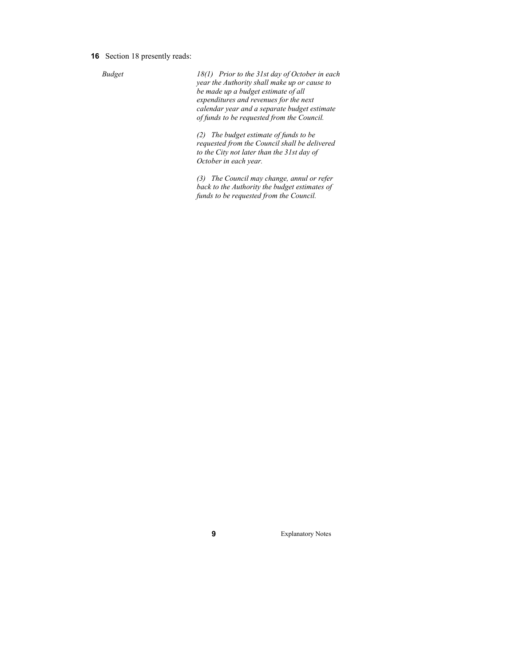**16** Section 18 presently reads:

*Budget 18(1) Prior to the 31st day of October in each year the Authority shall make up or cause to be made up a budget estimate of all expenditures and revenues for the next calendar year and a separate budget estimate of funds to be requested from the Council.*

> *(2) The budget estimate of funds to be requested from the Council shall be delivered to the City not later than the 31st day of October in each year.*

*(3) The Council may change, annul or refer back to the Authority the budget estimates of funds to be requested from the Council.*